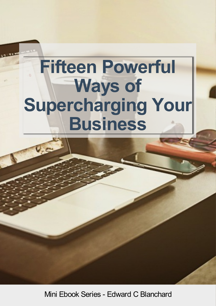Mini Ebook Series - Edward C Blanchard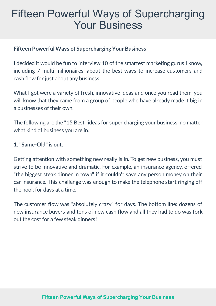## **Fifteen Powerful Ways of Supercharging Your Business**

I decided it would be fun to interview 10 of the smartest marketing gurus I know, including 7 multi-millionaires, about the best ways to increase customers and cash flow for just about any business.

What I got were a variety of fresh, innovative ideas and once you read them, you will know that they came from a group of people who have already made it big in a businesses of their own.

The following are the "15 Best" ideas for super charging your business, no matter what kind of business you are in.

#### **1. "Same-Old"is out.**

Getting attention with something new really is in. To get new business, you must strive to be innovative and dramatic. For example, an insurance agency, offered "the biggest steak dinner in town" if it couldn't save any person money on their car insurance. This challenge was enough to make the telephone start ringing off the hook for days at a time.

The customer flow was "absolutely crazy" for days. The bottom line: dozens of new insurance buyers and tons of new cash flow and all they had to do was fork outthe costfor a fewsteak dinners!

#### **Fifteen Powerful Ways of [Supercharging](http://webdesign-imagineers.co.uk/) Your Business**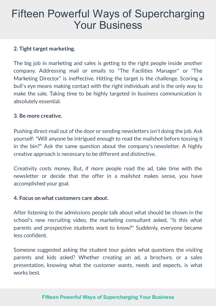## **2. Tight target marketing.**

The big job in marketing and sales is getting to the right people inside another company. Addressing mail or emails to "The Facilities Manager" or "The Marketing Director" is ineffective. Hitting the target is the challenge. Scoring a bull's eye means making contact with the right individuals and is the only way to make the sale. Taking time to be highly targeted in business communication is absolutely essential.

#### **3. Be more creative.**

Pushing direct-mail out of the door or sending newsletters isn't doing the job. Ask yourself: "Will anyone be intrigued enough to read the mailshot before tossing it in the bin?" Ask the same question about the company's newsletter. A highly creative approach is necessary to be different and distinctive.

Creativity costs money. But, if more people read the ad, take time with the newsletter or decide that the offer in a mailshot makes sense, you have accomplished your goal.

#### **4.** Focus on what customers care about.

After listening to the admissions people talk about what should be shown in the school's new recruiting video, the marketing consultant asked, "Is this what parents and prospective students want to know?" Suddenly, everyone became lessconfident.

Someone suggested asking the student tour guides what questions the visiting parents and kids asked? Whether creating an ad, a brochure, or a sales presentation, knowing what the customer wants, needs and expects, is what works best.

#### **Fifteen Powerful Ways of [Supercharging](http://webdesign-imagineers.co.uk/) Your Business**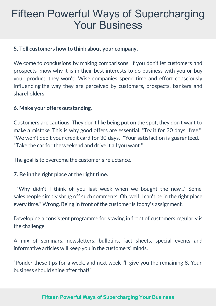### **5. Tellcustomers how to think about yourcompany.**

We come to conclusions by making comparisons. If you don't let customers and prospects know why it is in their best interests to do business with you or buy your product, they won't! Wise companies spend time and effort consciously influencing the way they are perceived by customers, prospects, bankers and shareholders.

### **6. Make your offers outstanding.**

Customers are cautious. They don't like being put on the spot; they don't want to make a mistake. This is why good offers are essential. "Try it for 30 days...free." "We won't debit your credit card for 30 days." "Your satisfaction is guaranteed." "Take the car for theweekend and drive it all you want."

The goal is to overcome the customer's reluctance.

### **7. Be in the right place at the right time.**

"Why didn't I think of you last week when we bought the new..." Some salespeople simply shrug off such comments. Oh, well. I can't be in the right place every time." Wrong. Being in front of the customer is today's assignment.

Developing a consistent programme for staying in front of customers regularly is the challenge.

A mix of seminars, newsletters, bulletins, fact sheets, special events and informative articles will keep you in the customers' minds.

"Ponder these tips for a week, and next week I'll give you the remaining 8. Your business should shine after that!"

#### **Fifteen Powerful Ways of [Supercharging](http://webdesign-imagineers.co.uk/) Your Business**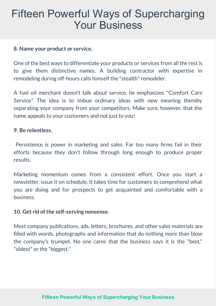#### **8. Name your product orservice.**

One of the best ways to differentiate your products or services from all the rest is to give them distinctive names. A building contractor with expertise in remodeling during off-hours calls himself the "stealth" remodeler.

A fuel oil merchant doesn't talk about service, he emphasizes "Comfort Care Service." The idea is to imbue ordinary ideas with new meaning thereby separating your company from your competitors. Make sure, however, that the name appeals to your customers and not just to you!

#### **9. Be relentless.**

Persistence is power in marketing and sales. Far too many firms fail in their efforts because they don't follow through long enough to produce proper results.

Marketing momentum comes from a consistent effort. Once you start a newsletter, issue it on schedule. It takes time for customers to comprehend what you are doing and for prospects to get acquainted and comfortable with a business.

#### **10. Get rid of the self-serving nonsense.**

Most company publications, ads, letters, brochures, and other sales materials are filled with words, photographs and information that do nothing more than blow the company's trumpet. No one cares that the business says it is the "best," "oldest" or the "biggest."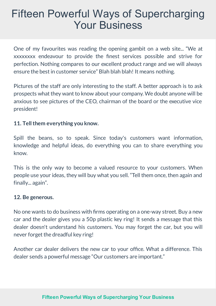One of my favourites was reading the opening gambit on a web site... "We at xxxxxxxx endeavour to provide the finest services possible and strive for perfection. Nothing compares to our excellent product range and we will always ensure the best in customer service" Blah blah blah! It means nothing.

Pictures of the staff are only interesting to the staff. A better approach is to ask prospects what they want to know about your company. We doubt anyone will be anxious to see pictures of the CEO, chairman of the board or the executive vice president!

## 11. Tell them everything you know.

Spill the beans, so to speak. Since today's customers want information, knowledge and helpful ideas, do everything you can to share everything you know.

This is the only way to become a valued resource to your customers. When people use your ideas, they will buy what you sell. "Tell themonce, then again and finally... again".

### **12. Be generous.**

No one wants to do business with firms operating on a one-way street. Buy a new car and the dealer gives you a 50p plastic key ring! It sends a message that this dealer doesn't understand his customers. You may forget the car, but you will never forget the dreadful key ring!

Another car dealer delivers the new car to your office. What a difference. This dealer sends a powerful message "Our customers are important."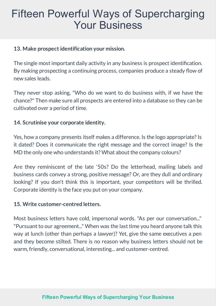# **13. Make prospect identification yourmission.**

The single most important daily activity in any business is prospect identification. By making prospecting a continuing process, companies produce a steady flow of newsales leads.

They never stop asking, "Who do we want to do business with, if we have the chance?" Then make sure all prospects are entered into a database so they can be cultivated over a period of time.

### **14. Scrutinise yourcorporate identity.**

Yes, how a company presents itself makes a difference. Is the logo appropriate? Is it dated? Does it communicate the right message and the correct image? Is the MD the only one who understands it? What about the company colours?

Are they reminiscent of the late '50s? Do the letterhead, mailing labels and business cards convey a strong, positive message? Or, are they dull and ordinary looking? If you don't think this is important, your competitors will be thrilled. Corporate identity is the face you put on your company.

#### **15. Write customer-centred letters.**

Most business letters have cold, impersonal words. "As per our conversation..." "Pursuant to our agreement..." When was the last time you heard anyone talk this way at lunch (other than perhaps a lawyer)? Yet, give the same executives a pen and they become stilted. There is no reason why business letters should not be warm, friendly, conversational, interesting... and customer-centred.